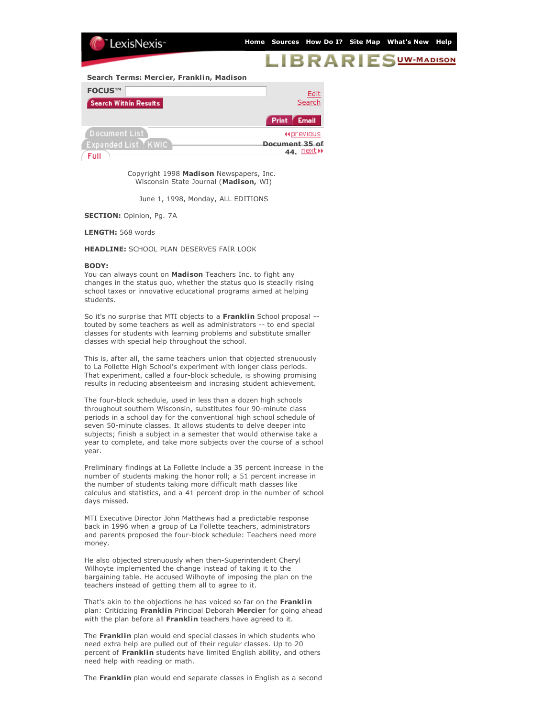

## BRARIE UW-MADISON

**Search Terms: Mercier, Franklin, Madison**

| FOCUS™                       | Edit                                     |
|------------------------------|------------------------------------------|
| <b>Search Within Results</b> | Search                                   |
|                              | <b>Email</b><br>Print                    |
| Document List                | <b>Hiprevious</b>                        |
| Expanded List『KWIC】<br>Full  | Document 35 of<br>44. Dext $\rightarrow$ |

Copyright 1998 **Madison** Newspapers, Inc. Wisconsin State Journal (**Madison,** WI)

June 1, 1998, Monday, ALL EDITIONS

**SECTION:** Opinion, Pg. 7A

**LENGTH:** 568 words

**HEADLINE:** SCHOOL PLAN DESERVES FAIR LOOK

## **BODY:**

You can always count on **Madison** Teachers Inc. to fight any changes in the status quo, whether the status quo is steadily rising school taxes or innovative educational programs aimed at helping students.

So it's no surprise that MTI objects to a **Franklin** School proposal - touted by some teachers as well as administrators -- to end special classes for students with learning problems and substitute smaller classes with special help throughout the school.

This is, after all, the same teachers union that objected strenuously to La Follette High School's experiment with longer class periods. That experiment, called a four-block schedule, is showing promising results in reducing absenteeism and incrasing student achievement.

The four-block schedule, used in less than a dozen high schools throughout southern Wisconsin, substitutes four 90-minute class periods in a school day for the conventional high school schedule of seven 50-minute classes. It allows students to delve deeper into subjects; finish a subject in a semester that would otherwise take a year to complete, and take more subjects over the course of a school year.

Preliminary findings at La Follette include a 35 percent increase in the number of students making the honor roll; a 51 percent increase in the number of students taking more difficult math classes like calculus and statistics, and a 41 percent drop in the number of school days missed.

MTI Executive Director John Matthews had a predictable response back in 1996 when a group of La Follette teachers, administrators and parents proposed the four-block schedule: Teachers need more money.

He also objected strenuously when then-Superintendent Cheryl Wilhoyte implemented the change instead of taking it to the bargaining table. He accused Wilhoyte of imposing the plan on the teachers instead of getting them all to agree to it.

That's akin to the objections he has voiced so far on the **Franklin** plan: Criticizing **Franklin** Principal Deborah **Mercier** for going ahead with the plan before all **Franklin** teachers have agreed to it.

The **Franklin** plan would end special classes in which students who need extra help are pulled out of their regular classes. Up to 20 percent of **Franklin** students have limited English ability, and others need help with reading or math.

The **Franklin** plan would end separate classes in English as a second